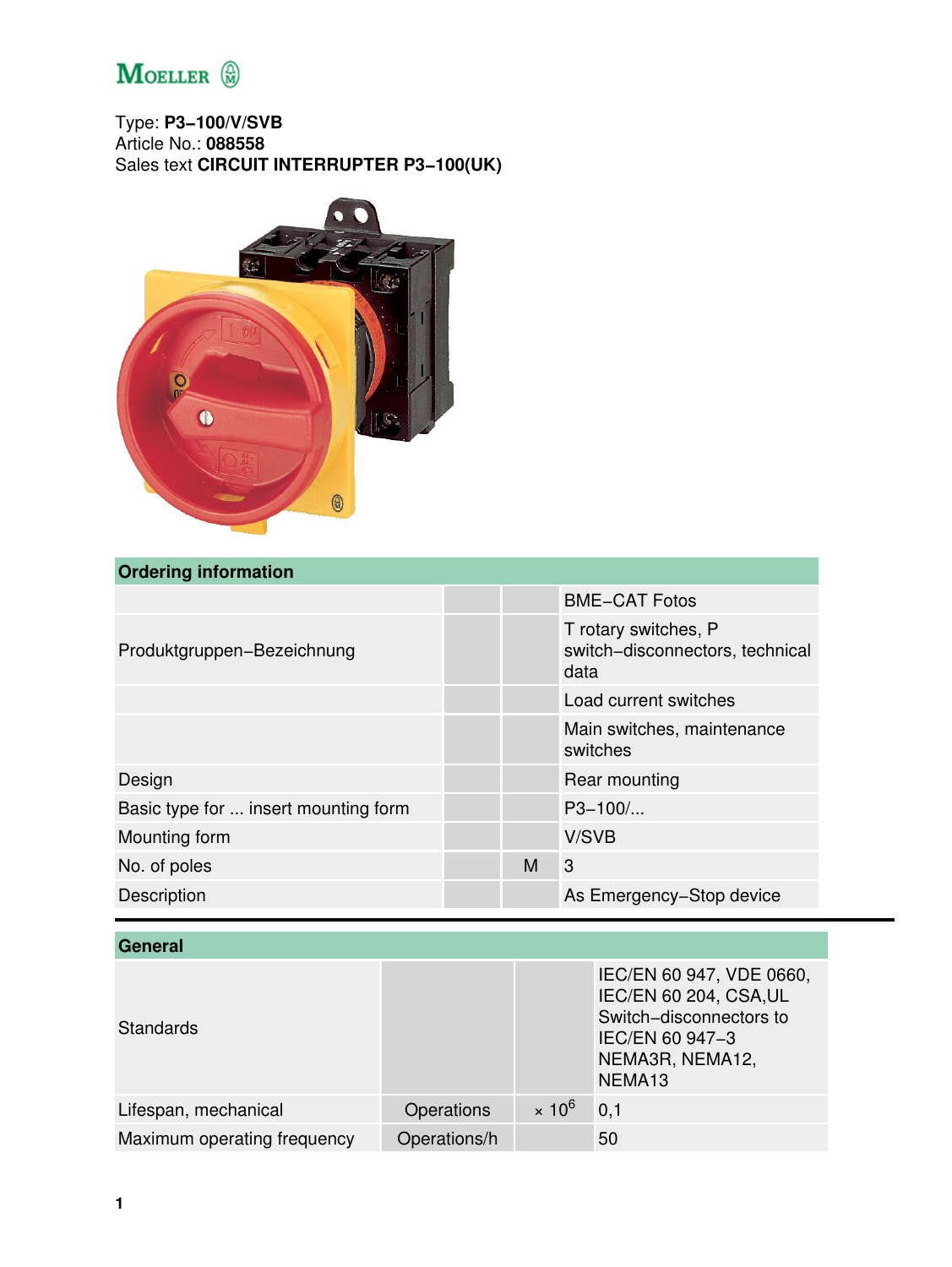

Type: **P3−100/V/SVB** Article No.: **088558** Sales text **CIRCUIT INTERRUPTER P3−100(UK)**



# **Ordering information**

|                                      |   | <b>BME-CAT Fotos</b>                                            |
|--------------------------------------|---|-----------------------------------------------------------------|
| Produktgruppen-Bezeichnung           |   | T rotary switches, P<br>switch-disconnectors, technical<br>data |
|                                      |   | Load current switches                                           |
|                                      |   | Main switches, maintenance<br>switches                          |
| Design                               |   | Rear mounting                                                   |
| Basic type for  insert mounting form |   | $P3 - 100$                                                      |
| Mounting form                        |   | V/SVB                                                           |
| No. of poles                         | м | 3                                                               |
| Description                          |   | As Emergency-Stop device                                        |

| General                     |              |               |                                                                                                                                                  |
|-----------------------------|--------------|---------------|--------------------------------------------------------------------------------------------------------------------------------------------------|
| <b>Standards</b>            |              |               | IEC/EN 60 947, VDE 0660,<br><b>IEC/EN 60 204, CSA, UL</b><br>Switch-disconnectors to<br>IEC/EN 60 947-3<br>NEMA3R, NEMA12,<br>NEMA <sub>13</sub> |
| Lifespan, mechanical        | Operations   | $\times 10^6$ | 0,1                                                                                                                                              |
| Maximum operating frequency | Operations/h |               | 50                                                                                                                                               |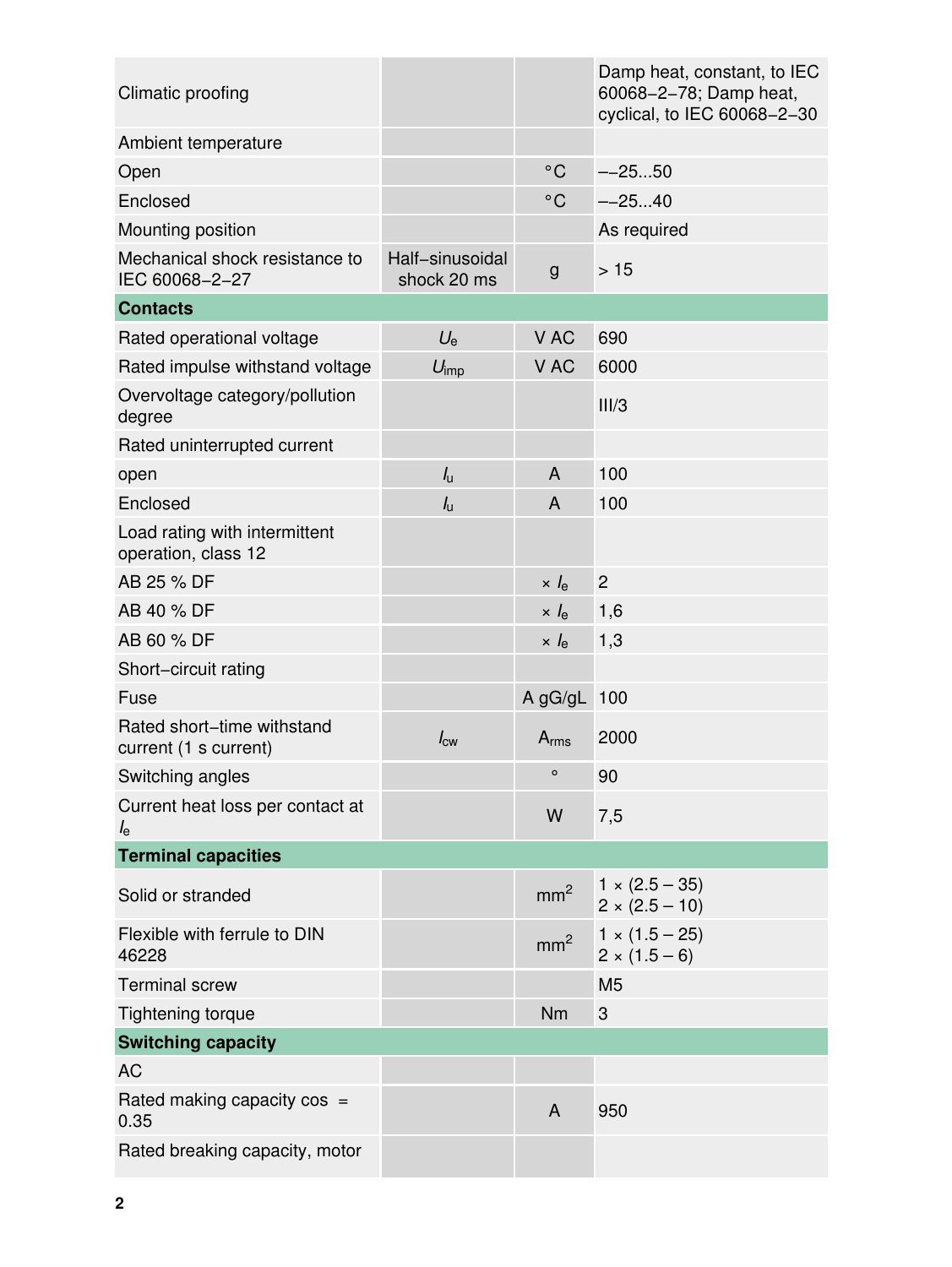| Climatic proofing                                    |                                |                 | Damp heat, constant, to IEC<br>60068-2-78; Damp heat,<br>cyclical, to IEC 60068-2-30 |
|------------------------------------------------------|--------------------------------|-----------------|--------------------------------------------------------------------------------------|
| Ambient temperature                                  |                                |                 |                                                                                      |
| Open                                                 |                                | $^{\circ}$ C    | $-2550$                                                                              |
| Enclosed                                             |                                | $^{\circ}$ C    | $-2540$                                                                              |
| Mounting position                                    |                                |                 | As required                                                                          |
| Mechanical shock resistance to<br>IEC 60068-2-27     | Half-sinusoidal<br>shock 20 ms | $\mathsf{g}$    | $>15$                                                                                |
| <b>Contacts</b>                                      |                                |                 |                                                                                      |
| Rated operational voltage                            | $U_{e}$                        | V AC            | 690                                                                                  |
| Rated impulse withstand voltage                      | $U_{\text{imp}}$               | V AC            | 6000                                                                                 |
| Overvoltage category/pollution<br>degree             |                                |                 | III/3                                                                                |
| Rated uninterrupted current                          |                                |                 |                                                                                      |
| open                                                 | $I_{\rm u}$                    | A               | 100                                                                                  |
| Enclosed                                             | $I_{\rm u}$                    | A               | 100                                                                                  |
| Load rating with intermittent<br>operation, class 12 |                                |                 |                                                                                      |
| AB 25 % DF                                           |                                | $\times$ $I_e$  | $\overline{c}$                                                                       |
| AB 40 % DF                                           |                                | $\times l_e$    | 1,6                                                                                  |
| AB 60 % DF                                           |                                | $\times l_e$    | 1,3                                                                                  |
| Short-circuit rating                                 |                                |                 |                                                                                      |
| Fuse                                                 |                                | $A$ gG/gL       | 100                                                                                  |
| Rated short-time withstand<br>current (1 s current)  | $I_{\text{cw}}$                | $A_{rms}$       | 2000                                                                                 |
| Switching angles                                     |                                | $\circ$         | 90                                                                                   |
| Current heat loss per contact at<br>$I_{\rm e}$      |                                | W               | 7,5                                                                                  |
| <b>Terminal capacities</b>                           |                                |                 |                                                                                      |
| Solid or stranded                                    |                                | mm <sup>2</sup> | $1 \times (2.5 - 35)$<br>$2 \times (2.5 - 10)$                                       |
| Flexible with ferrule to DIN<br>46228                |                                | mm <sup>2</sup> | $1 \times (1.5 - 25)$<br>$2 \times (1.5 - 6)$                                        |
| <b>Terminal screw</b>                                |                                |                 | M <sub>5</sub>                                                                       |
| <b>Tightening torque</b>                             |                                | Nm              | 3                                                                                    |
| <b>Switching capacity</b>                            |                                |                 |                                                                                      |
| <b>AC</b>                                            |                                |                 |                                                                                      |
| Rated making capacity $cos =$<br>0.35                |                                | A               | 950                                                                                  |
| Rated breaking capacity, motor                       |                                |                 |                                                                                      |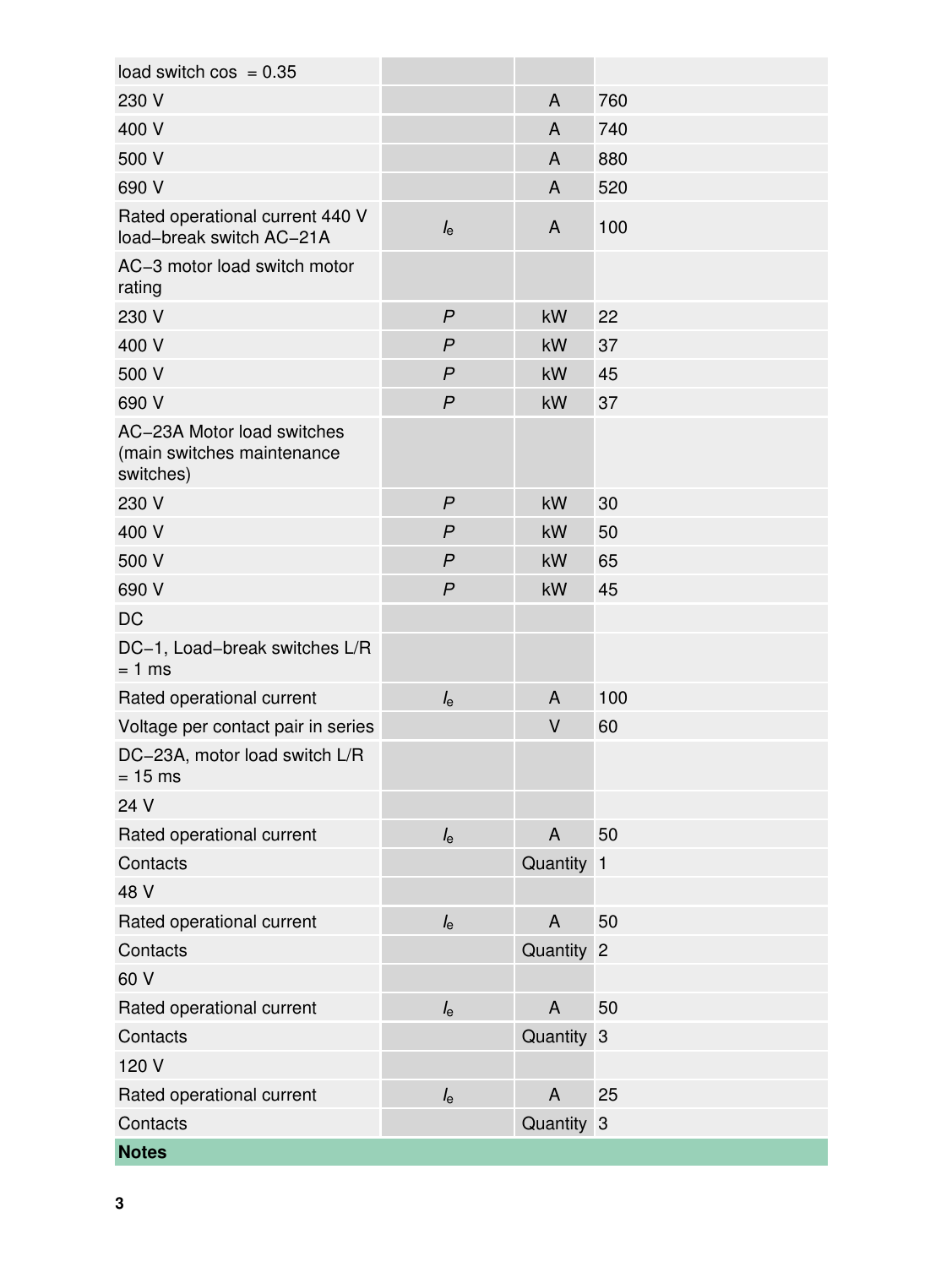| load switch $cos = 0.35$                                              |                  |              |     |
|-----------------------------------------------------------------------|------------------|--------------|-----|
| 230 V                                                                 |                  | A            | 760 |
| 400 V                                                                 |                  | A            | 740 |
| 500 V                                                                 |                  | A            | 880 |
| 690 V                                                                 |                  | A            | 520 |
| Rated operational current 440 V<br>load-break switch AC-21A           | $l_{\rm e}$      | A            | 100 |
| AC-3 motor load switch motor<br>rating                                |                  |              |     |
| 230 V                                                                 | $\overline{P}$   | kW           | 22  |
| 400 V                                                                 | $\overline{P}$   | kW           | 37  |
| 500 V                                                                 | $\overline{P}$   | kW           | 45  |
| 690 V                                                                 | $\boldsymbol{P}$ | kW           | 37  |
| AC-23A Motor load switches<br>(main switches maintenance<br>switches) |                  |              |     |
| 230 V                                                                 | $\boldsymbol{P}$ | kW           | 30  |
| 400 V                                                                 | $\boldsymbol{P}$ | kW           | 50  |
| 500 V                                                                 | $\mathsf{P}$     | kW           | 65  |
| 690 V                                                                 | $\boldsymbol{P}$ | kW           | 45  |
| <b>DC</b>                                                             |                  |              |     |
| DC-1, Load-break switches L/R<br>$= 1$ ms                             |                  |              |     |
| Rated operational current                                             | $I_{e}$          | A            | 100 |
| Voltage per contact pair in series                                    |                  | V            | 60  |
| DC-23A, motor load switch L/R<br>$= 15$ ms                            |                  |              |     |
| 24 V                                                                  |                  |              |     |
| Rated operational current                                             | $I_{e}$          | $\mathsf{A}$ | 50  |
| Contacts                                                              |                  | Quantity 1   |     |
| 48 V                                                                  |                  |              |     |
| Rated operational current                                             | $I_{\rm e}$      | A            | 50  |
| Contacts                                                              |                  | Quantity 2   |     |
| 60 V                                                                  |                  |              |     |
| Rated operational current                                             | $I_{\rm e}$      | $\mathsf{A}$ | 50  |
| Contacts                                                              |                  | Quantity 3   |     |
| 120 V                                                                 |                  |              |     |
| Rated operational current                                             | $I_{\rm e}$      | A            | 25  |
| Contacts                                                              |                  | Quantity 3   |     |
| <b>Notes</b>                                                          |                  |              |     |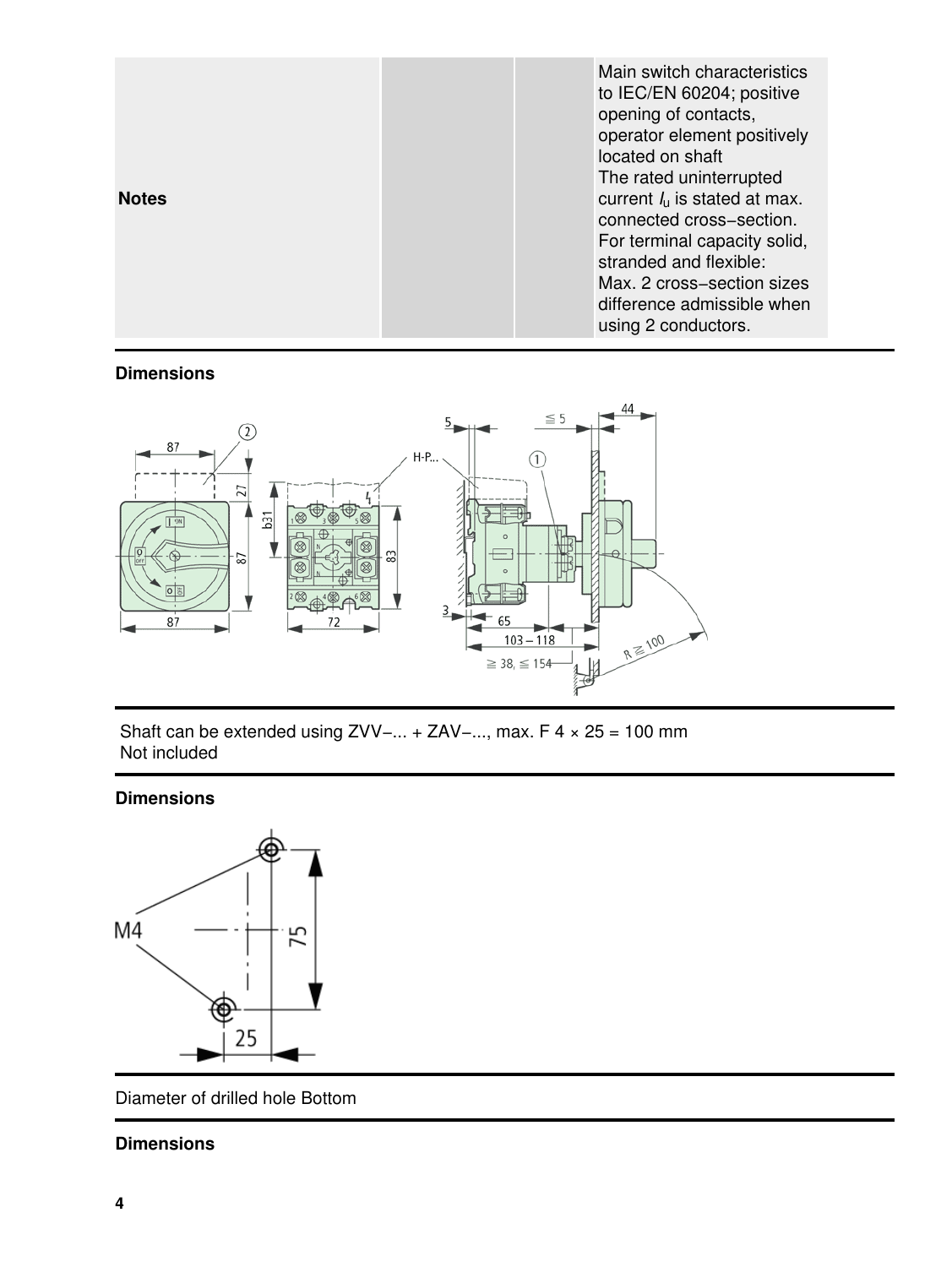| <b>Notes</b> | Main switch characteristics<br>to IEC/EN 60204; positive<br>opening of contacts,<br>operator element positively<br>located on shaft<br>The rated uninterrupted<br>current $I_{\rm u}$ is stated at max.<br>connected cross-section.<br>For terminal capacity solid,<br>stranded and flexible:<br>Max. 2 cross-section sizes<br>difference admissible when |
|--------------|-----------------------------------------------------------------------------------------------------------------------------------------------------------------------------------------------------------------------------------------------------------------------------------------------------------------------------------------------------------|
|              | using 2 conductors.                                                                                                                                                                                                                                                                                                                                       |

#### **Dimensions**



 Shaft can be extended using ZVV−... + ZAV−..., max. F 4 × 25 = 100 mm Not included

### **Dimensions**



Diameter of drilled hole Bottom

## **Dimensions**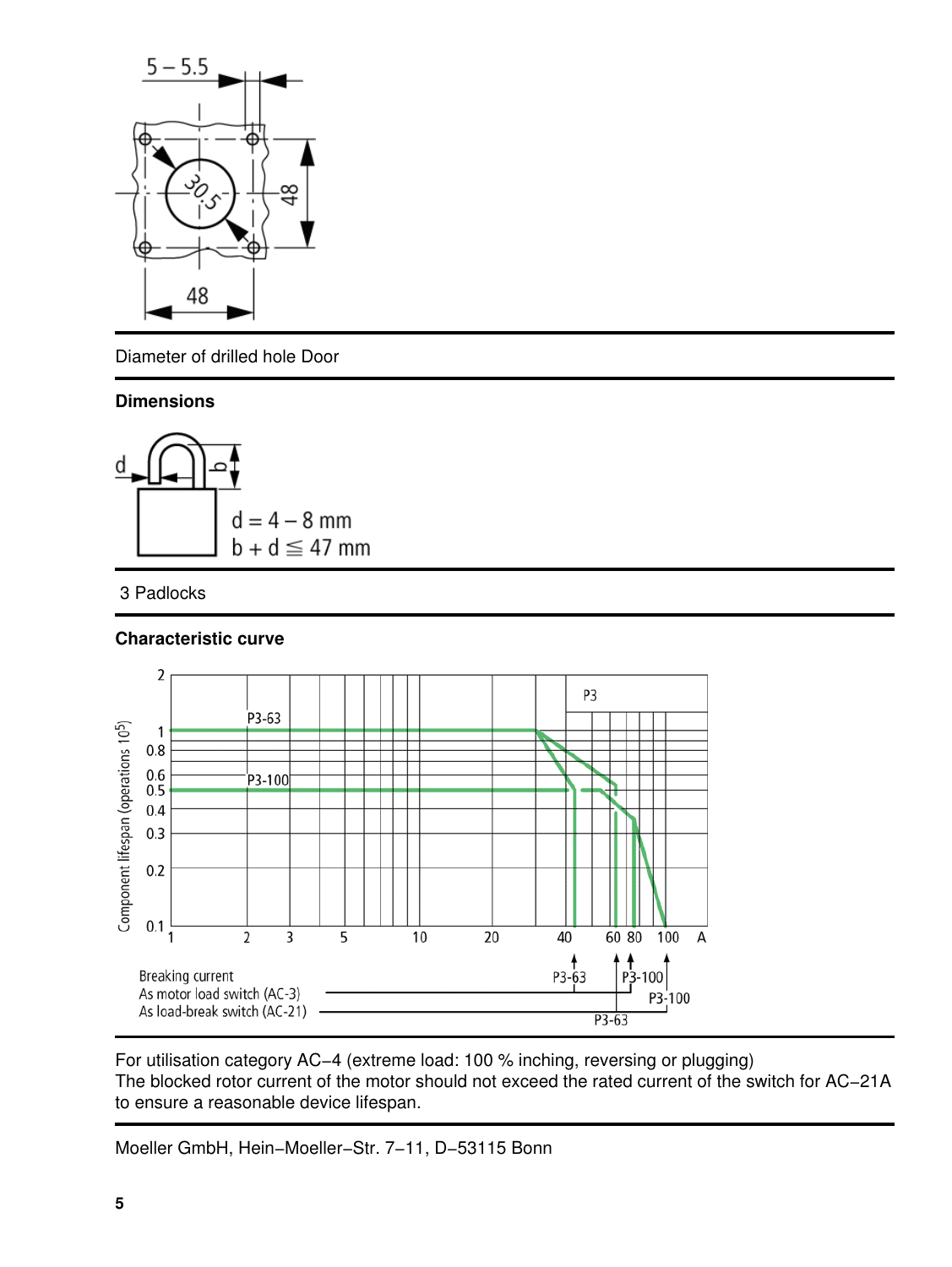

Diameter of drilled hole Door

#### **Dimensions**



## 3 Padlocks

## **Characteristic curve**



For utilisation category AC−4 (extreme load: 100 % inching, reversing or plugging) The blocked rotor current of the motor should not exceed the rated current of the switch for AC−21A to ensure a reasonable device lifespan.

Moeller GmbH, Hein−Moeller−Str. 7−11, D−53115 Bonn